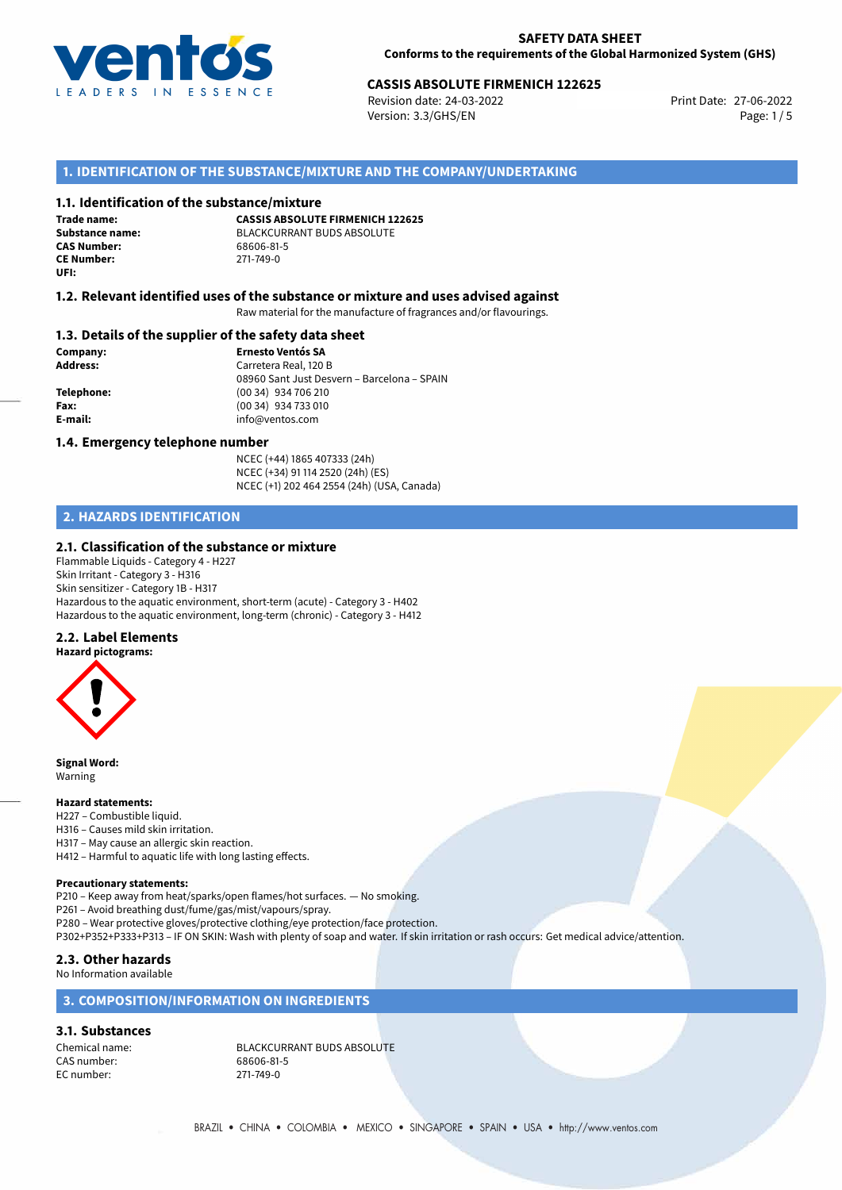

## 27-06-2022 **CASSIS ABSOLUTE FIRMENICH 122625**

Revision date: 24-03-2022 Version: 3.3/GHS/EN Page: 1/5

### **1. IDENTIFICATION OF THE SUBSTANCE/MIXTURE AND THE COMPANY/UNDERTAKING**

#### **1.1. Identification of the substance/mixture**

**Trade name: CAS Number: CE Number:** 271-749-0 **UFI:**

**CASSIS ABSOLUTE FIRMENICH 122625 Substance name:** BLACKCURRANT BUDS ABSOLUTE<br> **CAS Number:** 68606-81-5

#### **1.2. Relevant identified uses of the substance or mixture and uses advised against**

Raw material for the manufacture of fragrances and/or flavourings.

#### **1.3. Details of the supplier of the safety data sheet**

**Company: Ernesto Ventós SA Address:** Carretera Real, 120 B 08960 Sant Just Desvern – Barcelona – SPAIN **Telephone:** (00 34) 934 706 210 **Fax:** (00 34) 934 733 010 **E-mail:** info@ventos.com

#### **1.4. Emergency telephone number**

NCEC (+44) 1865 407333 (24h) NCEC (+34) 91 114 2520 (24h) (ES) NCEC (+1) 202 464 2554 (24h) (USA, Canada)

## **2. HAZARDS IDENTIFICATION**

#### **2.1. Classification of the substance or mixture**

Flammable Liquids - Category 4 - H227 Skin Irritant - Category 3 - H316 Skin sensitizer - Category 1B - H317 Hazardous to the aquatic environment, short-term (acute) - Category 3 - H402 Hazardous to the aquatic environment, long-term (chronic) - Category 3 - H412

#### **2.2. Label Elements**

**Hazard pictograms:**



**Signal Word:** Warning

#### **Hazard statements:**

- H227 Combustible liquid.
- H316 Causes mild skin irritation.
- H317 May cause an allergic skin reaction.
- H412 Harmful to aquatic life with long lasting effects.

## **Precautionary statements:**

P210 – Keep away from heat/sparks/open flames/hot surfaces. — No smoking.

P261 – Avoid breathing dust/fume/gas/mist/vapours/spray.

P280 – Wear protective gloves/protective clothing/eye protection/face protection.

P302+P352+P333+P313 – IF ON SKIN: Wash with plenty of soap and water. If skin irritation or rash occurs: Get medical advice/attention.

## **2.3. Other hazards**

No Information available

## **3. COMPOSITION/INFORMATION ON INGREDIENTS**

## **3.1. Substances**

CAS number: 68606-81-5<br>
EC number: 271-749-0 EC number:

Chemical name: BLACKCURRANT BUDS ABSOLUTE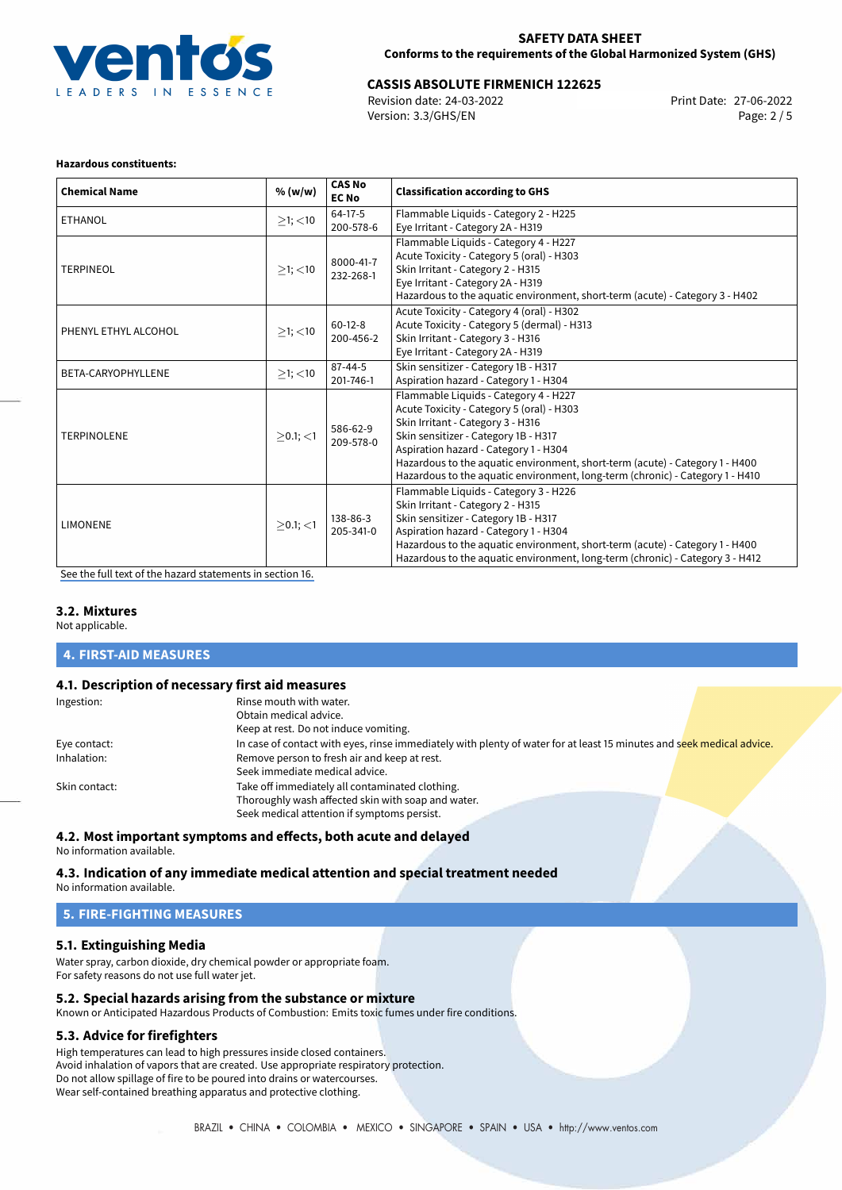

# 27-06-2022 **CASSIS ABSOLUTE FIRMENICH 122625**

Revision date: 24-03-2022 Version: 3.3/GHS/EN Page: 2 / 5

#### **Hazardous constituents:**

| <b>Chemical Name</b> | % (w/w)       | <b>CAS No</b><br><b>EC No</b> | <b>Classification according to GHS</b>                                                                                                                                                                                                                                                                                                                                    |
|----------------------|---------------|-------------------------------|---------------------------------------------------------------------------------------------------------------------------------------------------------------------------------------------------------------------------------------------------------------------------------------------------------------------------------------------------------------------------|
| <b>ETHANOL</b>       | $\geq$ 1; <10 | $64-17-5$<br>200-578-6        | Flammable Liquids - Category 2 - H225<br>Eye Irritant - Category 2A - H319                                                                                                                                                                                                                                                                                                |
| <b>TERPINEOL</b>     | $\geq$ 1; <10 | 8000-41-7<br>232-268-1        | Flammable Liquids - Category 4 - H227<br>Acute Toxicity - Category 5 (oral) - H303<br>Skin Irritant - Category 2 - H315<br>Eye Irritant - Category 2A - H319<br>Hazardous to the aquatic environment, short-term (acute) - Category 3 - H402                                                                                                                              |
| PHENYL ETHYL ALCOHOL | $\geq$ 1; <10 | $60-12-8$<br>200-456-2        | Acute Toxicity - Category 4 (oral) - H302<br>Acute Toxicity - Category 5 (dermal) - H313<br>Skin Irritant - Category 3 - H316<br>Eye Irritant - Category 2A - H319                                                                                                                                                                                                        |
| BETA-CARYOPHYLLENE   | $>1$ ; $<$ 10 | $87 - 44 - 5$<br>201-746-1    | Skin sensitizer - Category 1B - H317<br>Aspiration hazard - Category 1 - H304                                                                                                                                                                                                                                                                                             |
| <b>TERPINOLENE</b>   | $>0.1$ ; <1   | 586-62-9<br>209-578-0         | Flammable Liquids - Category 4 - H227<br>Acute Toxicity - Category 5 (oral) - H303<br>Skin Irritant - Category 3 - H316<br>Skin sensitizer - Category 1B - H317<br>Aspiration hazard - Category 1 - H304<br>Hazardous to the aquatic environment, short-term (acute) - Category 1 - H400<br>Hazardous to the aquatic environment, long-term (chronic) - Category 1 - H410 |
| <b>LIMONENE</b>      | $>0.1$ ; <1   | 138-86-3<br>205-341-0         | Flammable Liquids - Category 3 - H226<br>Skin Irritant - Category 2 - H315<br>Skin sensitizer - Category 1B - H317<br>Aspiration hazard - Category 1 - H304<br>Hazardous to the aquatic environment, short-term (acute) - Category 1 - H400<br>Hazardous to the aquatic environment, long-term (chronic) - Category 3 - H412                                              |

[See the full text of the hazard statements in section 16.](#page-4-0)

#### **3.2. Mixtures**

Not applicable.

#### **4. FIRST-AID MEASURES**

#### **4.1. Description of necessary first aid measures**

| Ingestion:    | Rinse mouth with water.                                                                                               |
|---------------|-----------------------------------------------------------------------------------------------------------------------|
|               | Obtain medical advice.                                                                                                |
|               | Keep at rest. Do not induce vomiting.                                                                                 |
| Eye contact:  | In case of contact with eyes, rinse immediately with plenty of water for at least 15 minutes and seek medical advice. |
| Inhalation:   | Remove person to fresh air and keep at rest.                                                                          |
|               | Seek immediate medical advice.                                                                                        |
| Skin contact: | Take off immediately all contaminated clothing.                                                                       |
|               | Thoroughly wash affected skin with soap and water.                                                                    |
|               | Seek medical attention if symptoms persist.                                                                           |

#### **4.2. Most important symptoms and effects, both acute and delayed**

No information available.

#### **4.3. Indication of any immediate medical attention and special treatment needed** No information available.

## **5. FIRE-FIGHTING MEASURES**

## **5.1. Extinguishing Media**

Water spray, carbon dioxide, dry chemical powder or appropriate foam. For safety reasons do not use full water jet.

## **5.2. Special hazards arising from the substance or mixture**

Known or Anticipated Hazardous Products of Combustion: Emits toxic fumes under fire conditions.

## **5.3. Advice for firefighters**

High temperatures can lead to high pressures inside closed containers. Avoid inhalation of vapors that are created. Use appropriate respiratory protection. Do not allow spillage of fire to be poured into drains or watercourses. Wear self-contained breathing apparatus and protective clothing.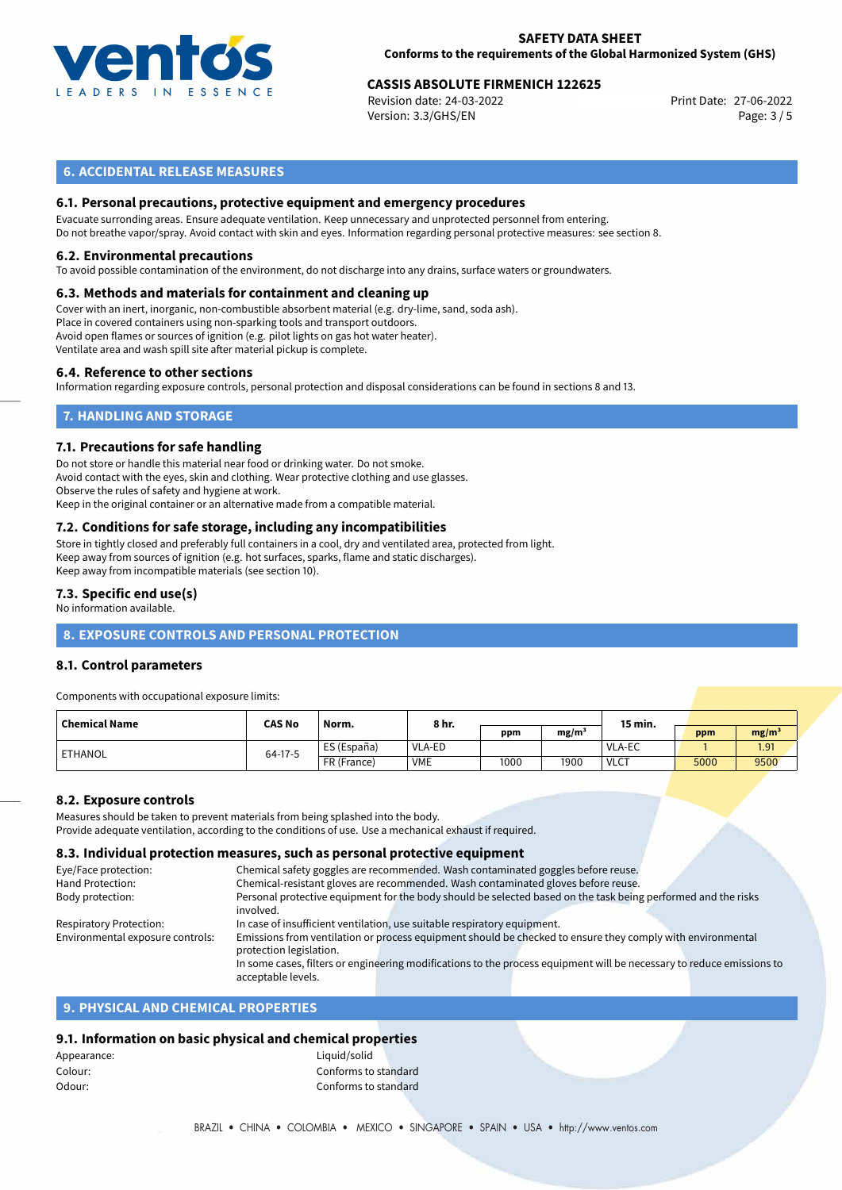

## 27-06-2022 **CASSIS ABSOLUTE FIRMENICH 122625**

Revision date: 24-03-2022 Version: 3.3/GHS/EN Page: 3 / 5

### **6. ACCIDENTAL RELEASE MEASURES**

#### **6.1. Personal precautions, protective equipment and emergency procedures**

Evacuate surronding areas. Ensure adequate ventilation. Keep unnecessary and unprotected personnel from entering. Do not breathe vapor/spray. Avoid contact with skin and eyes. Information regarding personal protective measures: see section 8.

#### **6.2. Environmental precautions**

To avoid possible contamination of the environment, do not discharge into any drains, surface waters or groundwaters.

#### **6.3. Methods and materials for containment and cleaning up**

Cover with an inert, inorganic, non-combustible absorbent material (e.g. dry-lime, sand, soda ash). Place in covered containers using non-sparking tools and transport outdoors. Avoid open flames or sources of ignition (e.g. pilot lights on gas hot water heater). Ventilate area and wash spill site after material pickup is complete.

#### **6.4. Reference to other sections**

Information regarding exposure controls, personal protection and disposal considerations can be found in sections 8 and 13.

## **7. HANDLING AND STORAGE**

#### **7.1. Precautions for safe handling**

Do not store or handle this material near food or drinking water. Do not smoke. Avoid contact with the eyes, skin and clothing. Wear protective clothing and use glasses. Observe the rules of safety and hygiene at work. Keep in the original container or an alternative made from a compatible material.

## **7.2. Conditions for safe storage, including any incompatibilities**

Store in tightly closed and preferably full containers in a cool, dry and ventilated area, protected from light. Keep away from sources of ignition (e.g. hot surfaces, sparks, flame and static discharges). Keep away from incompatible materials (see section 10).

#### **7.3. Specific end use(s)**

No information available.

## **8. EXPOSURE CONTROLS AND PERSONAL PROTECTION**

#### **8.1. Control parameters**

Components with occupational exposure limits:

| <b>Chemical Name</b> | <b>CAS No</b> | Norm.       | 8 hr.         |      |      | 15 min.       |      |                   |  |
|----------------------|---------------|-------------|---------------|------|------|---------------|------|-------------------|--|
|                      |               |             |               | ppm  | mg/m |               | ppm  | mg/m <sup>3</sup> |  |
| ETHANOL              | 64-17-5       | ES (España) | <b>VLA-ED</b> |      |      | <b>VLA-EC</b> |      | 1.91              |  |
|                      |               | FR (France) | <b>VME</b>    | 1000 | 1900 | <b>VLCT</b>   | 5000 | 9500              |  |

#### **8.2. Exposure controls**

Measures should be taken to prevent materials from being splashed into the body.

Provide adequate ventilation, according to the conditions of use. Use a mechanical exhaust if required.

#### **8.3. Individual protection measures, such as personal protective equipment**

| Eye/Face protection:             | Chemical safety goggles are recommended. Wash contaminated goggles before reuse.                                      |  |  |  |
|----------------------------------|-----------------------------------------------------------------------------------------------------------------------|--|--|--|
| Hand Protection:                 | Chemical-resistant gloves are recommended. Wash contaminated gloves before reuse.                                     |  |  |  |
| Body protection:                 | Personal protective equipment for the body should be selected based on the task being performed and the risks         |  |  |  |
|                                  | involved.                                                                                                             |  |  |  |
| Respiratory Protection:          | In case of insufficient ventilation, use suitable respiratory equipment.                                              |  |  |  |
| Environmental exposure controls: | Emissions from ventilation or process equipment should be checked to ensure they comply with environmental            |  |  |  |
|                                  | protection legislation.                                                                                               |  |  |  |
|                                  | In some cases, filters or engineering modifications to the process equipment will be necessary to reduce emissions to |  |  |  |
|                                  | acceptable levels.                                                                                                    |  |  |  |
|                                  |                                                                                                                       |  |  |  |

#### **9. PHYSICAL AND CHEMICAL PROPERTIES**

#### **9.1. Information on basic physical and chemical properties**

| Appearance: | Liquid/solid         |
|-------------|----------------------|
| Colour:     | Conforms to standard |
| Odour:      | Conforms to standard |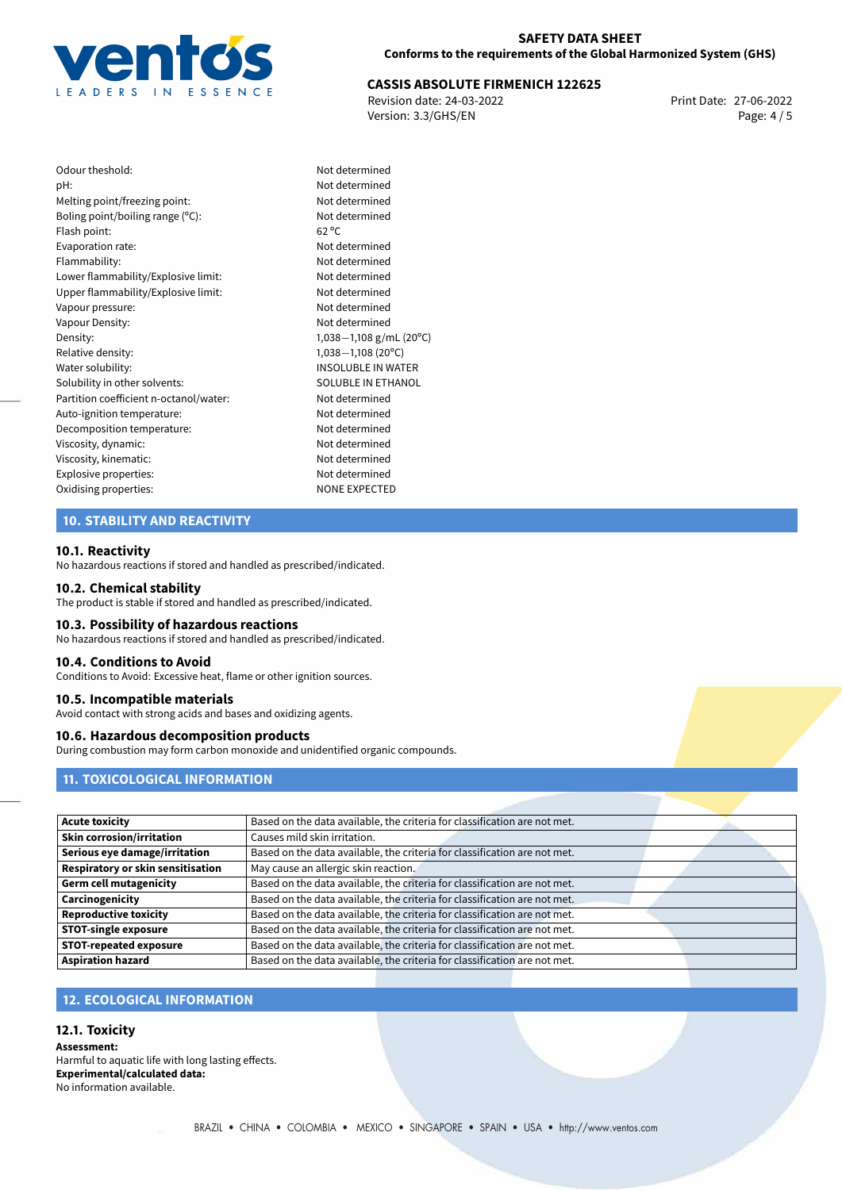

# 27-06-2022 **CASSIS ABSOLUTE FIRMENICH 122625**

Revision date: 24-03-2022 Version: 3.3/GHS/EN Page: 4 / 5

| Not c          |
|----------------|
| Not c          |
| Not c          |
| Not c          |
| $62^{\circ}$ C |
| Not c          |
| Not c          |
| Not c          |
| Not c          |
| Not c          |
| Not c          |
| 1,038          |
| 1,038          |
| <b>INSO</b>    |
| SOLL           |
| Not c          |
| Not c          |
| Not c          |
| Not c          |
| Not c          |
| Not c          |
| <b>NON</b>     |
|                |

### Not determined Not determined Not determined Not determined Not determined Not determined Not determined Upper flammability/Explosive limit: Not determined Not determined Not determined Density: 1,038*−*1,108 g/mL (20ºC) Relative density: 1,038*−*1,108 (20ºC) INSOLUBLE IN WATER SOLUBLE IN ETHANOL Not determined Not determined Not determined Not determined Not determined Not determined **NONE EXPECTED**

### **10. STABILITY AND REACTIVITY**

#### **10.1. Reactivity**

No hazardous reactions if stored and handled as prescribed/indicated.

#### **10.2. Chemical stability**

The product is stable if stored and handled as prescribed/indicated.

#### **10.3. Possibility of hazardous reactions**

No hazardous reactions if stored and handled as prescribed/indicated.

#### **10.4. Conditions to Avoid**

Conditions to Avoid: Excessive heat, flame or other ignition sources.

#### **10.5. Incompatible materials**

Avoid contact with strong acids and bases and oxidizing agents.

#### **10.6. Hazardous decomposition products**

During combustion may form carbon monoxide and unidentified organic compounds.

#### **11. TOXICOLOGICAL INFORMATION**

| <b>Acute toxicity</b>             | Based on the data available, the criteria for classification are not met. |  |
|-----------------------------------|---------------------------------------------------------------------------|--|
| <b>Skin corrosion/irritation</b>  | Causes mild skin irritation.                                              |  |
| Serious eye damage/irritation     | Based on the data available, the criteria for classification are not met. |  |
| Respiratory or skin sensitisation | May cause an allergic skin reaction.                                      |  |
| <b>Germ cell mutagenicity</b>     | Based on the data available, the criteria for classification are not met. |  |
| Carcinogenicity                   | Based on the data available, the criteria for classification are not met. |  |
| <b>Reproductive toxicity</b>      | Based on the data available, the criteria for classification are not met. |  |
| <b>STOT-single exposure</b>       | Based on the data available, the criteria for classification are not met. |  |
| <b>STOT-repeated exposure</b>     | Based on the data available, the criteria for classification are not met. |  |
| <b>Aspiration hazard</b>          | Based on the data available, the criteria for classification are not met. |  |

## **12. ECOLOGICAL INFORMATION**

#### **12.1. Toxicity**

**Assessment:** Harmful to aquatic life with long lasting effects. **Experimental/calculated data:** No information available.